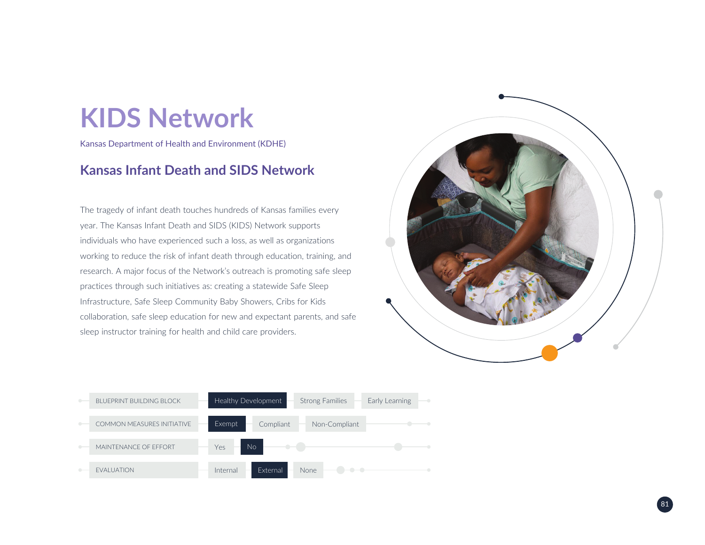Kansas Department of Health and Environment (KDHE)

### **Kansas Infant Death and SIDS Network**

The tragedy of infant death touches hundreds of Kansas families every year. The Kansas Infant Death and SIDS (KIDS) Network supports individuals who have experienced such a loss, as well as organizations working to reduce the risk of infant death through education, training, and research. A major focus of the Network's outreach is promoting safe sleep practices through such initiatives as: creating a statewide Safe Sleep Infrastructure, Safe Sleep Community Baby Showers, Cribs for Kids collaboration, safe sleep education for new and expectant parents, and safe sleep instructor training for health and child care providers.



| BI UFPRINT BUILDING BLOCK         | Healthy Development                         | <b>Strong Families</b> | Early Learning<br>$\rightarrow$ |
|-----------------------------------|---------------------------------------------|------------------------|---------------------------------|
| <b>COMMON MEASURES INITIATIVE</b> | Exempt<br>Compliant                         | Non-Compliant          |                                 |
| MAINTENANCE OF FFFORT             | $\langle \cdot \rangle$<br><b>No</b><br>Yes |                        |                                 |
| <b>EVALUATION</b>                 | External<br>Internal                        | <b>None</b>            |                                 |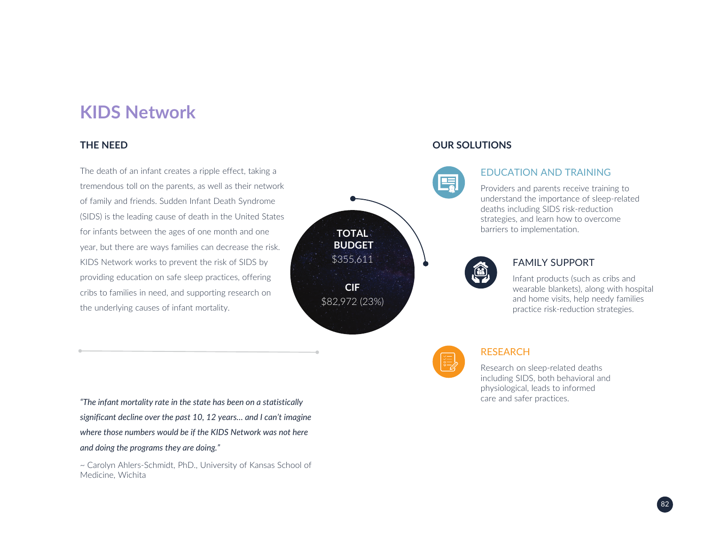#### **THE NEED**

The death of an infant creates a ripple effect, taking a tremendous toll on the parents, as well as their network of family and friends. Sudden Infant Death Syndrome (SIDS) is the leading cause of death in the United States for infants between the ages of one month and one year, but there are ways families can decrease the risk. KIDS Network works to prevent the risk of SIDS by providing education on safe sleep practices, offering cribs to families in need, and supporting research on the underlying causes of infant mortality.

care and safer practices. *"The infant mortality rate in the state has been on a statistically significant decline over the past 10, 12 years… and I can't imagine where those numbers would be if the KIDS Network was not here and doing the programs they are doing."*

~ Carolyn Ahlers-Schmidt, PhD., University of Kansas School of Medicine, Wichita

#### **OUR SOLUTIONS**

**TOTAL BUDGET**\$355,611

**CIF**\$82,972 (23%)

#### EDUCATION AND TRAINING

Providers and parents receive training to understand the importance of sleep-related deaths including SIDS risk-reduction strategies, and learn how to overcome barriers to implementation.



#### FAMILY SUPPORT

Infant products (such as cribs and wearable blankets), along with hospital and home visits, help needy families practice risk-reduction strategies.

#### **RESEARCH**

Research on sleep-related deaths including SIDS, both behavioral and physiological, leads to informed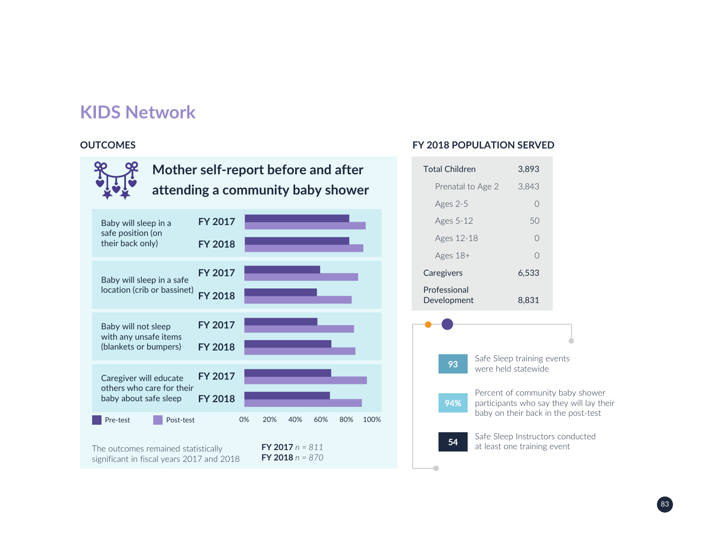#### **OUTCOMES**



#### **FY 2018 POPULATION SERVED**



54

Safe Sleep Instructors conducted at least one training event